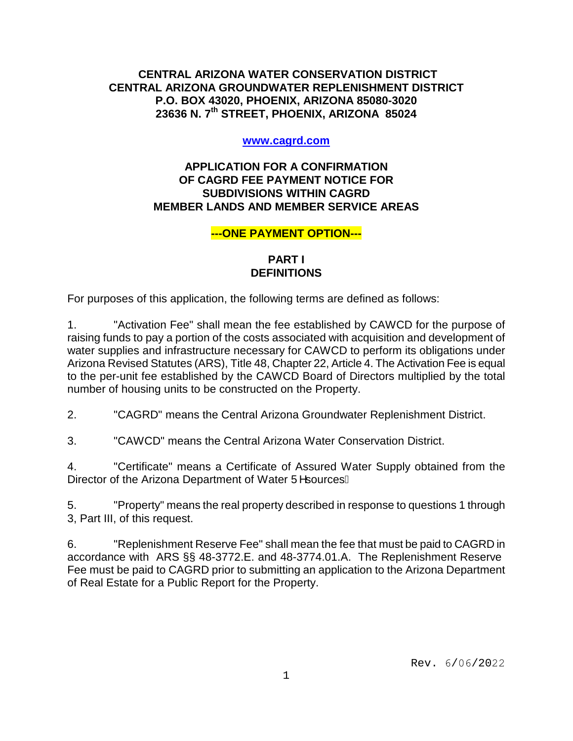# **CENTRAL ARIZONA WATER CONSERVATION DISTRICT CENTRAL ARIZONA GROUNDWATER REPLENISHMENT DISTRICT P.O. BOX 43020, PHOENIX, ARIZONA 85080-3020 23636 N. 7th STREET, PHOENIX, ARIZONA 85024**

### **www.cagrd.com**

## **APPLICATION FOR A CONFIRMATION OF CAGRD FEE PAYMENT NOTICE FOR SUBDIVISIONS WITHIN CAGRD MEMBER LANDS AND MEMBER SERVICE AREAS**

## **---ONE PAYMENT OPTION---**

# **PART I DEFINITIONS**

For purposes of this application, the following terms are defined as follows:

1. "Activation Fee" shall mean the fee established by CAWCD for the purpose of raising funds to pay a portion of the costs associated with acquisition and development of water supplies and infrastructure necessary for CAWCD to perform its obligations under Arizona Revised Statutes (ARS), Title 48, Chapter 22, Article 4. The Activation Fee is equal to the per-unit fee established by the CAWCD Board of Directors multiplied by the total number of housing units to be constructed on the Property.

2. "CAGRD" means the Central Arizona Groundwater Replenishment District.

3. "CAWCD" means the Central Arizona Water Conservation District.

4. "Certificate" means a Certificate of Assured Water Supply obtained from the Director of the Arizona Department of Water U^sourcesE

5. "Property" means the real property described in response to questions 1 through 3, Part III, of this request.

6. "Replenishment Reserve Fee" shall mean the fee that must be paid to CAGRD in accordance with ARS §§ 48-3772.E. and 48-3774.01.A. The Replenishment Reserve Fee must be paid to CAGRD prior to submitting an application to the Arizona Department of Real Estate for a Public Report for the Property.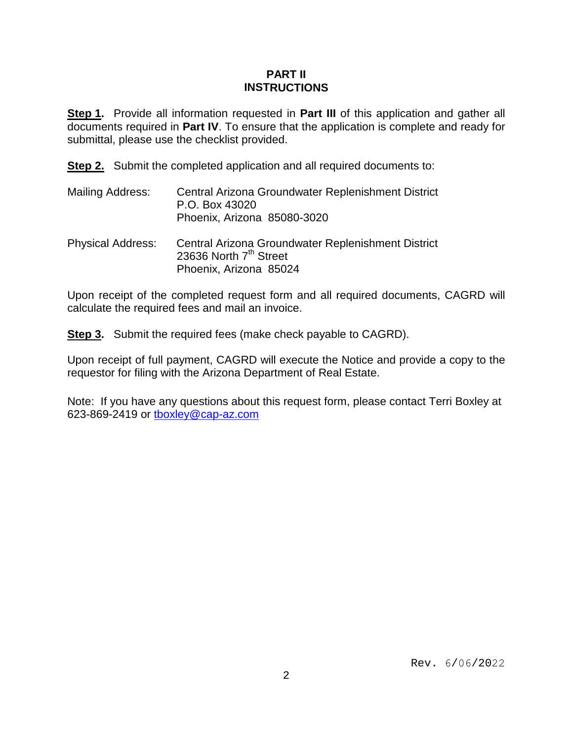## **PART II INSTRUCTIONS**

**Step 1.** Provide all information requested in **Part III** of this application and gather all documents required in **Part IV**. To ensure that the application is complete and ready for submittal, please use the checklist provided.

**Step 2.** Submit the completed application and all required documents to:

- Mailing Address: Central Arizona Groundwater Replenishment District P.O. Box 43020 Phoenix, Arizona 85080-3020
- Physical Address: Central Arizona Groundwater Replenishment District 23636 North  $7<sup>th</sup>$  Street Phoenix, Arizona 85024

Upon receipt of the completed request form and all required documents, CAGRD will calculate the required fees and mail an invoice.

**Step 3.** Submit the required fees (make check payable to CAGRD).

Upon receipt of full payment, CAGRD will execute the Notice and provide a copy to the requestor for filing with the Arizona Department of Real Estate.

Note: If you have any questions about this request form, please contact Terri Boxley at 623-869-2419 or [tboxley@cap-az.com](mailto:tboxley@cap-az.com)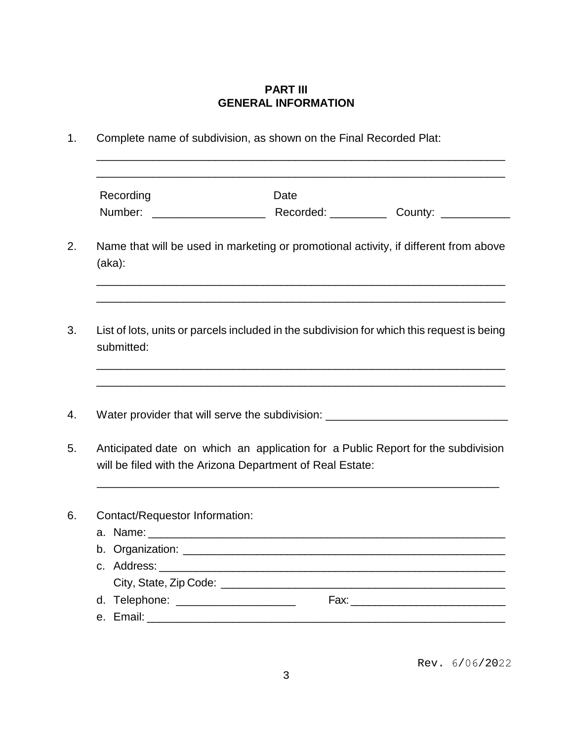# **PART III GENERAL INFORMATION**

| Recording                           | Date                                                                                                                                          |                                                                                  |
|-------------------------------------|-----------------------------------------------------------------------------------------------------------------------------------------------|----------------------------------------------------------------------------------|
|                                     |                                                                                                                                               |                                                                                  |
| (aka):                              | Name that will be used in marketing or promotional activity, if different from above                                                          |                                                                                  |
| submitted:                          | List of lots, units or parcels included in the subdivision for which this request is being                                                    |                                                                                  |
|                                     |                                                                                                                                               | ,我们也不能在这里的人,我们也不能在这里的人,我们也不能在这里的人,我们也不能在这里的人,我们也不能在这里的人,我们也不能在这里的人,我们也不能在这里的人,我们 |
|                                     |                                                                                                                                               |                                                                                  |
|                                     | Water provider that will serve the subdivision: ________________________________                                                              |                                                                                  |
|                                     | Anticipated date on which an application for a Public Report for the subdivision<br>will be filed with the Arizona Department of Real Estate: |                                                                                  |
| Contact/Requestor Information:      |                                                                                                                                               |                                                                                  |
|                                     |                                                                                                                                               |                                                                                  |
| b. Organization:                    |                                                                                                                                               |                                                                                  |
|                                     |                                                                                                                                               |                                                                                  |
| d. Telephone: _____________________ |                                                                                                                                               |                                                                                  |

Rev. 6/06/2022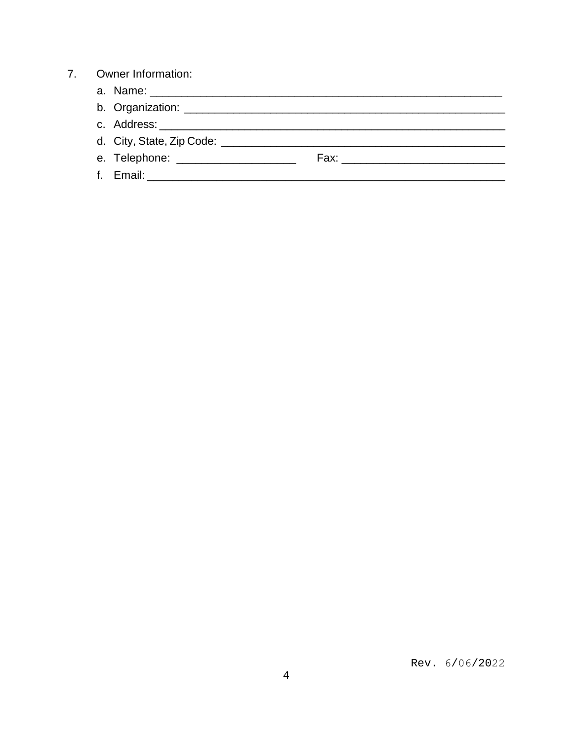#### $7.$ **Owner Information:**

- 
- c. Address: The contract of the contract of the contract of the contract of the contract of the contract of the contract of the contract of the contract of the contract of the contract of the contract of the contract of th
- 
-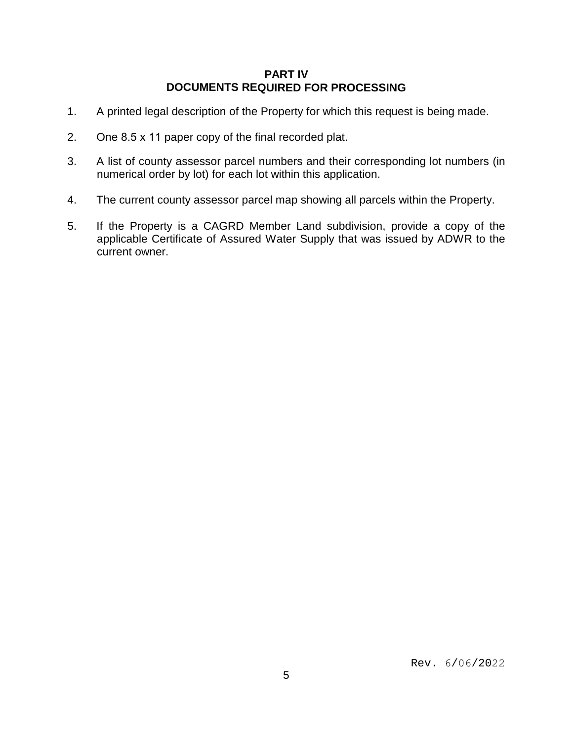### **PART IV DOCUMENTS REQUIRED FOR PROCESSING**

- 1. A printed legal description of the Property for which this request is being made.
- 2. One 8.5 x 11 paper copy of the final recorded plat.
- 3. A list of county assessor parcel numbers and their corresponding lot numbers (in numerical order by lot) for each lot within this application.
- 4. The current county assessor parcel map showing all parcels within the Property.
- 5. If the Property is a CAGRD Member Land subdivision, provide a copy of the applicable Certificate of Assured Water Supply that was issued by ADWR to the current owner.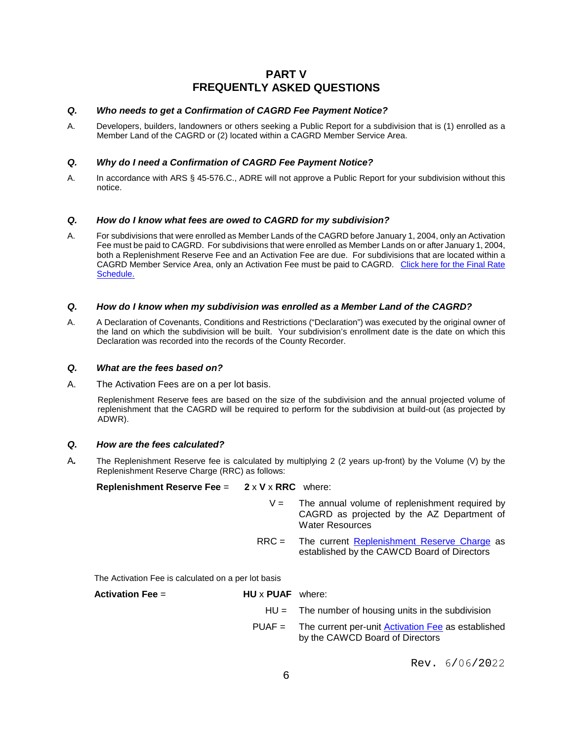### **PART V FREQUENTLY ASKED QUESTIONS**

#### *Q. Who needs to get a Confirmation of CAGRD Fee Payment Notice?*

A. Developers, builders, landowners or others seeking a Public Report for a subdivision that is (1) enrolled as a Member Land of the CAGRD or (2) located within a CAGRD Member Service Area.

#### *Q. Why do I need a Confirmation of CAGRD Fee Payment Notice?*

A. In accordance with ARS § 45-576.C., ADRE will not approve a Public Report for your subdivision without this notice.

#### *Q. How do I know what fees are owed to CAGRD for my subdivision?*

A. For subdivisions that were enrolled as Member Lands of the CAGRD before January 1, 2004, only an Activation Fee must be paid to CAGRD. For subdivisions that were enrolled as Member Lands on or after January 1, 2004, both a Replenishment Reserve Fee and an Activation Fee are due. For subdivisions that are located within a CAGRD Member Service Area, only an Activation Fee must be paid to CAGRD. [Click here for the Final Rate](https://library.cap-az.com/documents/departments/finance/CAGRD-Final-2022-23-thru-2027-28-Water-Rate-Schedule.pdf) [Schedule.](http://www.cagrd.com/documents/rates-fees/Approved_CAGRD_2014-15_through_2019-20_Rate_Schedule.pdf)

#### *Q. How do I know when my subdivision was enrolled as a Member Land of the CAGRD?*

A. A Declaration of Covenants, Conditions and Restrictions ("Declaration") was executed by the original owner of the land on which the subdivision will be built. Your subdivision's enrollment date is the date on which this Declaration was recorded into the records of the County Recorder.

#### *Q. What are the fees based on?*

A. The Activation Fees are on a per lot basis.

Replenishment Reserve fees are based on the size of the subdivision and the annual projected volume of replenishment that the CAGRD will be required to perform for the subdivision at build-out (as projected by ADWR).

#### *Q. How are the fees calculated?*

A*.* The Replenishment Reserve fee is calculated by multiplying 2 (2 years up-front) by the Volume (V) by the Replenishment Reserve Charge (RRC) as follows:

#### **Replenishment Reserve Fee =**  $2 \times V \times RRC$  **where:**

- $V =$  The annual volume of replenishment required by CAGRD as projected by the AZ Department of Water Resources
- RRC = The current [Replenishment Reserve Charge](https://library.cap-az.com/documents/departments/finance/CAGRD-Final-2022-23-thru-2027-28-Water-Rate-Schedule.pdf) as established by the CAWCD Board of Directors

The Activation Fee is calculated on a per lot basis

| Activation Fee $=$ | $HU \times PUAF$ where: |                                                                                                |
|--------------------|-------------------------|------------------------------------------------------------------------------------------------|
|                    |                         | $HU =$ The number of housing units in the subdivision                                          |
|                    |                         | $PUAF =$ The current per-unit Activation Fee as established<br>by the CAWCD Board of Directors |

Rev. 6/06/2022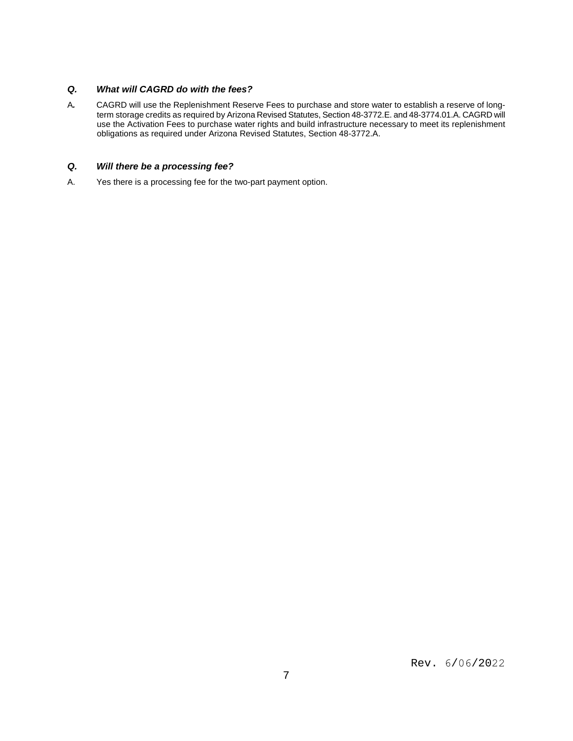### *Q. What will CAGRD do with the fees?*

A*.* CAGRD will use the Replenishment Reserve Fees to purchase and store water to establish a reserve of longterm storage credits as required by Arizona Revised Statutes, Section 48-3772.E. and 48-3774.01.A. CAGRD will use the Activation Fees to purchase water rights and build infrastructure necessary to meet its replenishment obligations as required under Arizona Revised Statutes, Section 48-3772.A.

#### *Q. Will there be a processing fee?*

A. Yes there is a processing fee for the two-part payment option.